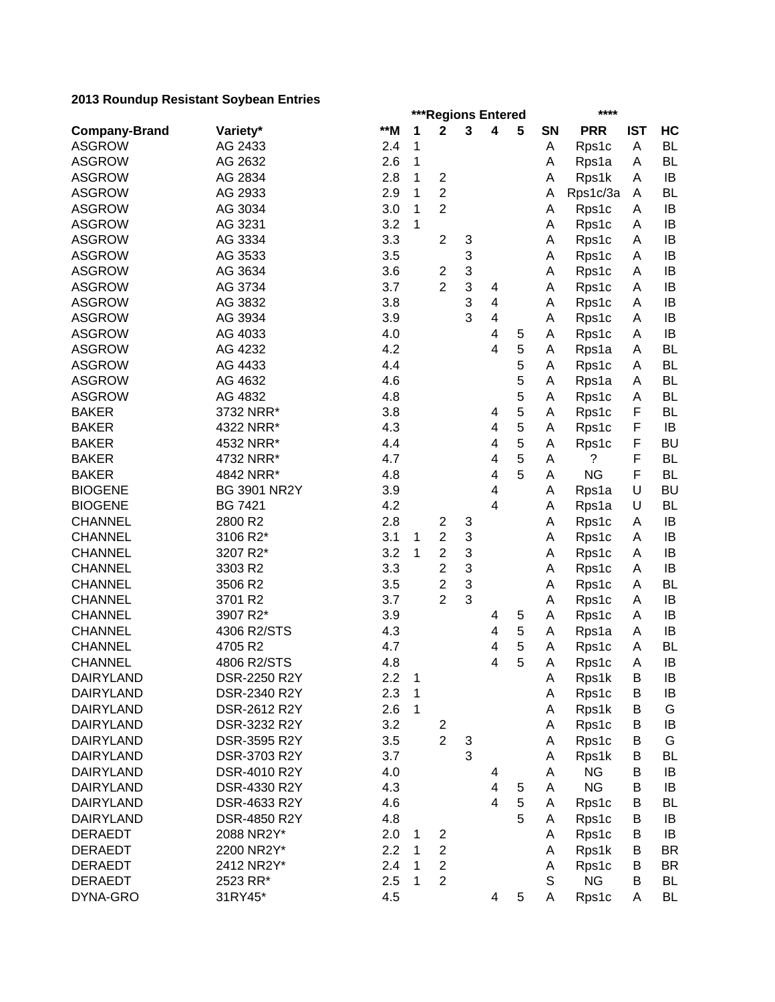|                      |                     | ***Regions Entered |              |                         |   |                         |        |             | ****       |            |           |  |  |  |
|----------------------|---------------------|--------------------|--------------|-------------------------|---|-------------------------|--------|-------------|------------|------------|-----------|--|--|--|
| <b>Company-Brand</b> | Variety*            | **M                | 1            | $\mathbf 2$             | 3 | 4                       | 5      | SN          | <b>PRR</b> | <b>IST</b> | HC        |  |  |  |
| <b>ASGROW</b>        | AG 2433             | 2.4                | 1            |                         |   |                         |        | Α           | Rps1c      | A          | <b>BL</b> |  |  |  |
| <b>ASGROW</b>        | AG 2632             | 2.6                | 1            |                         |   |                         |        | A           | Rps1a      | A          | <b>BL</b> |  |  |  |
| <b>ASGROW</b>        | AG 2834             | 2.8                | 1            | $\overline{2}$          |   |                         |        | A           | Rps1k      | A          | IB        |  |  |  |
| <b>ASGROW</b>        | AG 2933             | 2.9                | 1            | $\overline{2}$          |   |                         |        | A           | Rps1c/3a   | A          | <b>BL</b> |  |  |  |
| <b>ASGROW</b>        | AG 3034             | 3.0                | $\mathbf{1}$ | $\overline{2}$          |   |                         |        | Α           | Rps1c      | A          | IB        |  |  |  |
| <b>ASGROW</b>        | AG 3231             | 3.2                | 1            |                         |   |                         |        | Α           | Rps1c      | A          | IB        |  |  |  |
| <b>ASGROW</b>        | AG 3334             | 3.3                |              | $\overline{c}$          | 3 |                         |        | Α           | Rps1c      | A          | IB        |  |  |  |
| <b>ASGROW</b>        | AG 3533             | 3.5                |              |                         | 3 |                         |        | A           | Rps1c      | A          | IB        |  |  |  |
| <b>ASGROW</b>        | AG 3634             | 3.6                |              | $\overline{c}$          | 3 |                         |        | A           | Rps1c      | A          | IB        |  |  |  |
| <b>ASGROW</b>        | AG 3734             | 3.7                |              | $\overline{2}$          | 3 | 4                       |        | A           | Rps1c      | A          | IB        |  |  |  |
| <b>ASGROW</b>        | AG 3832             | 3.8                |              |                         | 3 | 4                       |        | A           | Rps1c      | A          | IB        |  |  |  |
| <b>ASGROW</b>        | AG 3934             | 3.9                |              |                         | 3 | 4                       |        | A           | Rps1c      | A          | IB        |  |  |  |
| <b>ASGROW</b>        | AG 4033             | 4.0                |              |                         |   | 4                       | 5      | A           | Rps1c      | A          | IB        |  |  |  |
| <b>ASGROW</b>        | AG 4232             | 4.2                |              |                         |   | 4                       | 5      | A           | Rps1a      | A          | <b>BL</b> |  |  |  |
| <b>ASGROW</b>        | AG 4433             | 4.4                |              |                         |   |                         | 5      | A           | Rps1c      | A          | <b>BL</b> |  |  |  |
| <b>ASGROW</b>        | AG 4632             | 4.6                |              |                         |   |                         | 5      | A           | Rps1a      | A          | <b>BL</b> |  |  |  |
| <b>ASGROW</b>        | AG 4832             | 4.8                |              |                         |   |                         | 5      | A           | Rps1c      | A          | <b>BL</b> |  |  |  |
| <b>BAKER</b>         | 3732 NRR*           | 3.8                |              |                         |   | 4                       | 5      | A           | Rps1c      | F          | <b>BL</b> |  |  |  |
| <b>BAKER</b>         | 4322 NRR*           | 4.3                |              |                         |   | 4                       | 5      | A           | Rps1c      | F          | IB        |  |  |  |
| <b>BAKER</b>         | 4532 NRR*           | 4.4                |              |                         |   | 4                       | 5      | A           | Rps1c      | F          | <b>BU</b> |  |  |  |
| <b>BAKER</b>         | 4732 NRR*           | 4.7                |              |                         |   | 4                       | 5      | A           | ?          | F          | <b>BL</b> |  |  |  |
| <b>BAKER</b>         | 4842 NRR*           | 4.8                |              |                         |   | 4                       | 5      | A           | <b>NG</b>  | F          | <b>BL</b> |  |  |  |
| <b>BIOGENE</b>       | <b>BG 3901 NR2Y</b> | 3.9                |              |                         |   | $\overline{\mathbf{4}}$ |        | Α           | Rps1a      | U          | <b>BU</b> |  |  |  |
| <b>BIOGENE</b>       | <b>BG 7421</b>      | 4.2                |              |                         |   | 4                       |        | Α           | Rps1a      | U          | <b>BL</b> |  |  |  |
| <b>CHANNEL</b>       | 2800 R2             | 2.8                |              | $\overline{2}$          | 3 |                         |        | A           | Rps1c      | A          | IB        |  |  |  |
| <b>CHANNEL</b>       | 3106 R2*            | 3.1                | 1            | $\overline{c}$          | 3 |                         |        | Α           | Rps1c      | Α          | IB        |  |  |  |
| <b>CHANNEL</b>       | 3207 R2*            | 3.2                | 1            | $\overline{2}$          | 3 |                         |        | A           | Rps1c      | A          | IB        |  |  |  |
| <b>CHANNEL</b>       | 3303 R2             | 3.3                |              | $\overline{2}$          | 3 |                         |        | A           | Rps1c      | A          | IB        |  |  |  |
| <b>CHANNEL</b>       | 3506 R2             | 3.5                |              | $\overline{2}$          | 3 |                         |        | Α           | Rps1c      | A          | <b>BL</b> |  |  |  |
| <b>CHANNEL</b>       | 3701 R2             | 3.7                |              | $\overline{2}$          | 3 |                         |        | A           |            | A          | IB        |  |  |  |
| <b>CHANNEL</b>       | 3907 R2*            | 3.9                |              |                         |   |                         |        | A           | Rps1c      |            | IB        |  |  |  |
|                      | 4306 R2/STS         |                    |              |                         |   | 4                       | 5<br>5 |             | Rps1c      | A          | IB        |  |  |  |
| <b>CHANNEL</b>       | 4705 R2             | 4.3                |              |                         |   | 4                       |        | A           | Rps1a      | A          |           |  |  |  |
| <b>CHANNEL</b>       |                     | 4.7                |              |                         |   | 4                       | 5      | A           | Rps1c      | A          | <b>BL</b> |  |  |  |
| <b>CHANNEL</b>       | 4806 R2/STS         | 4.8                |              |                         |   | 4                       | 5      | A           | Rps1c      | A          | IB        |  |  |  |
| <b>DAIRYLAND</b>     | DSR-2250 R2Y        | 2.2                | $\mathbf{1}$ |                         |   |                         |        | A           | Rps1k      | B          | IB        |  |  |  |
| <b>DAIRYLAND</b>     | DSR-2340 R2Y        | 2.3                | $\mathbf{1}$ |                         |   |                         |        | A           | Rps1c      | B          | IB        |  |  |  |
| <b>DAIRYLAND</b>     | DSR-2612 R2Y        | 2.6                | $\mathbf{1}$ |                         |   |                         |        | A           | Rps1k      | B          | G         |  |  |  |
| <b>DAIRYLAND</b>     | DSR-3232 R2Y        | 3.2                |              | $\overline{\mathbf{c}}$ |   |                         |        | Α           | Rps1c      | B          | IB        |  |  |  |
| <b>DAIRYLAND</b>     | DSR-3595 R2Y        | 3.5                |              | $\overline{2}$          | 3 |                         |        | Α           | Rps1c      | B          | G         |  |  |  |
| <b>DAIRYLAND</b>     | DSR-3703 R2Y        | 3.7                |              |                         | 3 |                         |        | Α           | Rps1k      | B          | BL        |  |  |  |
| <b>DAIRYLAND</b>     | DSR-4010 R2Y        | 4.0                |              |                         |   | 4                       |        | Α           | <b>NG</b>  | B          | IB        |  |  |  |
| <b>DAIRYLAND</b>     | DSR-4330 R2Y        | 4.3                |              |                         |   | 4                       | 5      | Α           | <b>NG</b>  | B          | IB        |  |  |  |
| <b>DAIRYLAND</b>     | DSR-4633 R2Y        | 4.6                |              |                         |   | $\overline{4}$          | 5      | A           | Rps1c      | B          | BL        |  |  |  |
| <b>DAIRYLAND</b>     | DSR-4850 R2Y        | 4.8                |              |                         |   |                         | 5      | A           | Rps1c      | B          | IB        |  |  |  |
| <b>DERAEDT</b>       | 2088 NR2Y*          | 2.0                | 1            | 2                       |   |                         |        | A           | Rps1c      | B          | IB        |  |  |  |
| <b>DERAEDT</b>       | 2200 NR2Y*          | 2.2                | 1            | $\overline{\mathbf{c}}$ |   |                         |        | Α           | Rps1k      | В          | <b>BR</b> |  |  |  |
| <b>DERAEDT</b>       | 2412 NR2Y*          | 2.4                | 1            | $\overline{c}$          |   |                         |        | Α           | Rps1c      | B          | <b>BR</b> |  |  |  |
| <b>DERAEDT</b>       | 2523 RR*            | 2.5                | 1            | $\overline{c}$          |   |                         |        | $\mathsf S$ | <b>NG</b>  | B          | <b>BL</b> |  |  |  |
| DYNA-GRO             | 31RY45*             | 4.5                |              |                         |   | 4                       | 5      | Α           | Rps1c      | Α          | <b>BL</b> |  |  |  |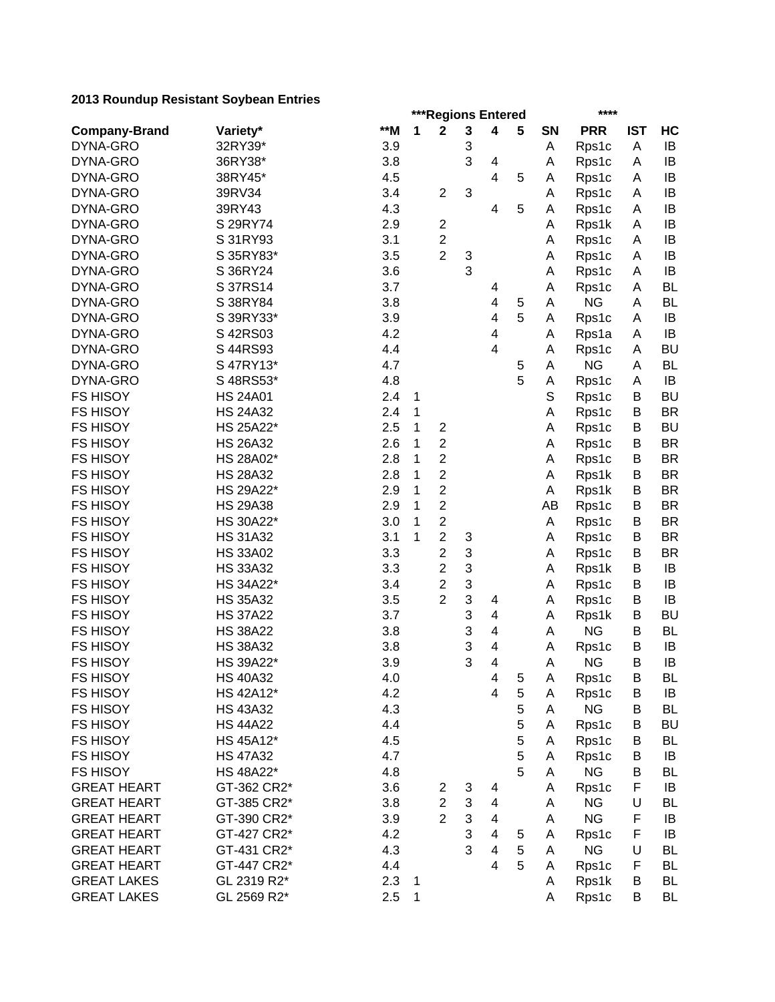|                      |                 |       | ***Regions Entered |                |   |                          |   |           |            |            |           |
|----------------------|-----------------|-------|--------------------|----------------|---|--------------------------|---|-----------|------------|------------|-----------|
| <b>Company-Brand</b> | Variety*        | $**M$ | 1                  | $\mathbf 2$    | 3 | 4                        | 5 | <b>SN</b> | <b>PRR</b> | <b>IST</b> | HC        |
| DYNA-GRO             | 32RY39*         | 3.9   |                    |                | 3 |                          |   | Α         | Rps1c      | A          | IB        |
| DYNA-GRO             | 36RY38*         | 3.8   |                    |                | 3 | 4                        |   | Α         | Rps1c      | A          | IB        |
| DYNA-GRO             | 38RY45*         | 4.5   |                    |                |   | 4                        | 5 | A         | Rps1c      | A          | IB        |
| DYNA-GRO             | 39RV34          | 3.4   |                    | $\overline{2}$ | 3 |                          |   | Α         | Rps1c      | A          | IB        |
| DYNA-GRO             | 39RY43          | 4.3   |                    |                |   | $\overline{\mathbf{4}}$  | 5 | A         | Rps1c      | A          | IB        |
| DYNA-GRO             | S 29RY74        | 2.9   |                    | $\overline{c}$ |   |                          |   | Α         | Rps1k      | A          | IB        |
| DYNA-GRO             | S 31RY93        | 3.1   |                    | $\overline{c}$ |   |                          |   | Α         | Rps1c      | A          | IB        |
| DYNA-GRO             | S 35RY83*       | 3.5   |                    | $\overline{2}$ | 3 |                          |   | Α         | Rps1c      | Α          | IB        |
| DYNA-GRO             | S 36RY24        | 3.6   |                    |                | 3 |                          |   | Α         | Rps1c      | A          | IB        |
| DYNA-GRO             | S 37RS14        | 3.7   |                    |                |   | 4                        |   | Α         | Rps1c      | A          | <b>BL</b> |
| DYNA-GRO             | S 38RY84        | 3.8   |                    |                |   | 4                        | 5 | A         | <b>NG</b>  | A          | <b>BL</b> |
| DYNA-GRO             | S 39RY33*       | 3.9   |                    |                |   | $\overline{\mathbf{4}}$  | 5 | A         | Rps1c      | A          | IB        |
| DYNA-GRO             | S 42RS03        | 4.2   |                    |                |   | $\overline{\mathbf{4}}$  |   | Α         | Rps1a      | A          | IB        |
| DYNA-GRO             | S 44RS93        | 4.4   |                    |                |   | $\overline{\mathbf{4}}$  |   | A         | Rps1c      | A          | <b>BU</b> |
| DYNA-GRO             | S 47RY13*       | 4.7   |                    |                |   |                          | 5 | A         | <b>NG</b>  | A          | <b>BL</b> |
| DYNA-GRO             | S 48RS53*       | 4.8   |                    |                |   |                          | 5 | А         | Rps1c      | A          | IB        |
| <b>FS HISOY</b>      | <b>HS 24A01</b> | 2.4   | 1                  |                |   |                          |   | S         | Rps1c      | Β          | <b>BU</b> |
| <b>FS HISOY</b>      | <b>HS 24A32</b> | 2.4   | 1                  |                |   |                          |   | Α         | Rps1c      | B          | <b>BR</b> |
| <b>FS HISOY</b>      | HS 25A22*       | 2.5   | 1                  | $\mathbf 2$    |   |                          |   |           |            | B          | <b>BU</b> |
|                      | <b>HS 26A32</b> |       |                    | $\overline{c}$ |   |                          |   | Α         | Rps1c      |            | <b>BR</b> |
| <b>FS HISOY</b>      |                 | 2.6   | 1                  |                |   |                          |   | Α         | Rps1c      | B          |           |
| <b>FS HISOY</b>      | HS 28A02*       | 2.8   | 1                  | $\overline{2}$ |   |                          |   | Α         | Rps1c      | B          | <b>BR</b> |
| <b>FS HISOY</b>      | <b>HS 28A32</b> | 2.8   | 1                  | $\overline{c}$ |   |                          |   | Α         | Rps1k      | B          | <b>BR</b> |
| <b>FS HISOY</b>      | HS 29A22*       | 2.9   | 1                  | $\overline{c}$ |   |                          |   | Α         | Rps1k      | B          | <b>BR</b> |
| <b>FS HISOY</b>      | <b>HS 29A38</b> | 2.9   | 1                  | $\overline{2}$ |   |                          |   | AB        | Rps1c      | B          | <b>BR</b> |
| <b>FS HISOY</b>      | HS 30A22*       | 3.0   | 1                  | $\overline{c}$ |   |                          |   | Α         | Rps1c      | B          | <b>BR</b> |
| <b>FS HISOY</b>      | <b>HS 31A32</b> | 3.1   | 1                  | $\overline{c}$ | 3 |                          |   | A         | Rps1c      | B          | <b>BR</b> |
| <b>FS HISOY</b>      | <b>HS 33A02</b> | 3.3   |                    | $\overline{2}$ | 3 |                          |   | Α         | Rps1c      | B          | <b>BR</b> |
| <b>FS HISOY</b>      | <b>HS 33A32</b> | 3.3   |                    | $\overline{2}$ | 3 |                          |   | A         | Rps1k      | B          | IB        |
| <b>FS HISOY</b>      | HS 34A22*       | 3.4   |                    | $\overline{c}$ | 3 |                          |   | Α         | Rps1c      | B          | IB        |
| <b>FS HISOY</b>      | <b>HS 35A32</b> | 3.5   |                    | $\overline{2}$ | 3 | 4                        |   | Α         | Rps1c      | B          | IB        |
| <b>FS HISOY</b>      | <b>HS 37A22</b> | 3.7   |                    |                | 3 | 4                        |   | A         | Rps1k      | B          | <b>BU</b> |
| <b>FS HISOY</b>      | <b>HS 38A22</b> | 3.8   |                    |                | 3 | 4                        |   | A         | <b>NG</b>  | B          | <b>BL</b> |
| <b>FS HISOY</b>      | <b>HS 38A32</b> | 3.8   |                    |                | 3 | 4                        |   | A         | Rps1c      | B          | IB        |
| <b>FS HISOY</b>      | HS 39A22*       | 3.9   |                    |                | 3 | $\overline{\mathbf{4}}$  |   | A         | <b>NG</b>  | B          | IB        |
| FS HISOY             | <b>HS 40A32</b> | 4.0   |                    |                |   | 4                        | 5 | A         | Rps1c      | B          | BL        |
| <b>FS HISOY</b>      | HS 42A12*       | 4.2   |                    |                |   | 4                        | 5 | A         | Rps1c      | B          | IB        |
| <b>FS HISOY</b>      | <b>HS 43A32</b> | 4.3   |                    |                |   |                          | 5 | Α         | <b>NG</b>  | B          | <b>BL</b> |
| <b>FS HISOY</b>      | <b>HS 44A22</b> | 4.4   |                    |                |   |                          | 5 | Α         | Rps1c      | B          | <b>BU</b> |
| FS HISOY             | HS 45A12*       | 4.5   |                    |                |   |                          | 5 | A         | Rps1c      | B          | BL        |
| <b>FS HISOY</b>      | <b>HS 47A32</b> | 4.7   |                    |                |   |                          | 5 | A         | Rps1c      | B          | IB        |
| <b>FS HISOY</b>      | HS 48A22*       | 4.8   |                    |                |   |                          | 5 | A         | <b>NG</b>  | B          | <b>BL</b> |
| <b>GREAT HEART</b>   | GT-362 CR2*     | 3.6   |                    | 2              | 3 | 4                        |   | Α         | Rps1c      | F          | IB        |
| <b>GREAT HEART</b>   | GT-385 CR2*     | 3.8   |                    | $\overline{2}$ | 3 | $\overline{\mathbf{4}}$  |   | A         | <b>NG</b>  | U          | <b>BL</b> |
| <b>GREAT HEART</b>   | GT-390 CR2*     | 3.9   |                    | $\overline{2}$ | 3 | 4                        |   | A         | <b>NG</b>  | F          | IB        |
| <b>GREAT HEART</b>   | GT-427 CR2*     | 4.2   |                    |                | 3 | $\overline{\mathbf{4}}$  | 5 | A         | Rps1c      | F          | IB        |
| <b>GREAT HEART</b>   | GT-431 CR2*     | 4.3   |                    |                | 3 | $\overline{\mathcal{A}}$ | 5 | A         | <b>NG</b>  | U          | <b>BL</b> |
| <b>GREAT HEART</b>   | GT-447 CR2*     | 4.4   |                    |                |   | $\overline{\mathbf{4}}$  | 5 | A         | Rps1c      | F          | <b>BL</b> |
| <b>GREAT LAKES</b>   | GL 2319 R2*     | 2.3   | 1                  |                |   |                          |   | A         | Rps1k      | B          | <b>BL</b> |
| <b>GREAT LAKES</b>   | GL 2569 R2*     | 2.5   | 1                  |                |   |                          |   | A         | Rps1c      | B          | <b>BL</b> |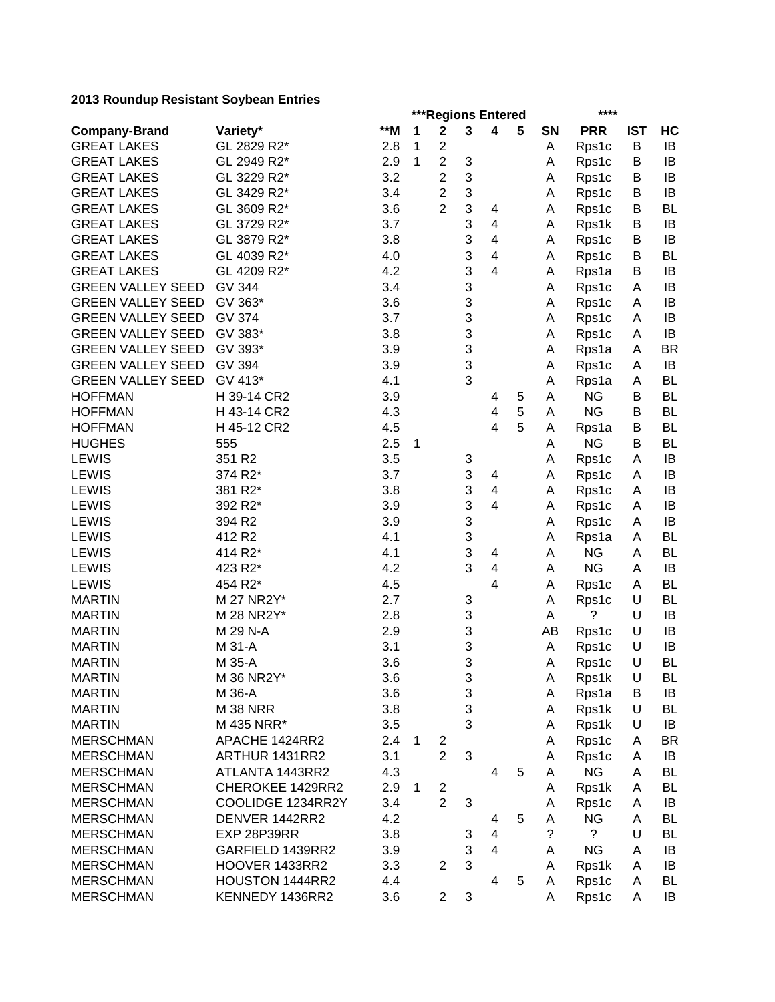|                          |                   |       | ***Regions Entered<br>**** |                |                           |                         |   |        |             |            |           |
|--------------------------|-------------------|-------|----------------------------|----------------|---------------------------|-------------------------|---|--------|-------------|------------|-----------|
| <b>Company-Brand</b>     | Variety*          | $*$ M | 1                          | $\mathbf 2$    | $\mathbf 3$               | 4                       | 5 | SN     | <b>PRR</b>  | <b>IST</b> | HC        |
| <b>GREAT LAKES</b>       | GL 2829 R2*       | 2.8   | 1                          | $\overline{c}$ |                           |                         |   | Α      | Rps1c       | B          | IB        |
| <b>GREAT LAKES</b>       | GL 2949 R2*       | 2.9   | 1                          | $\overline{c}$ | 3                         |                         |   | Α      | Rps1c       | B          | IB        |
| <b>GREAT LAKES</b>       | GL 3229 R2*       | 3.2   |                            | $\overline{2}$ | 3                         |                         |   | A      | Rps1c       | B          | IB        |
| <b>GREAT LAKES</b>       | GL 3429 R2*       | 3.4   |                            | $\overline{2}$ | $\sqrt{3}$                |                         |   | Α      | Rps1c       | B          | IB        |
| <b>GREAT LAKES</b>       | GL 3609 R2*       | 3.6   |                            | $\overline{2}$ | 3                         | 4                       |   | Α      | Rps1c       | B          | <b>BL</b> |
| <b>GREAT LAKES</b>       | GL 3729 R2*       | 3.7   |                            |                | 3                         | 4                       |   | A      | Rps1k       | B          | IB        |
| <b>GREAT LAKES</b>       | GL 3879 R2*       | 3.8   |                            |                | 3                         | 4                       |   | A      | Rps1c       | B          | IB        |
| <b>GREAT LAKES</b>       | GL 4039 R2*       | 4.0   |                            |                | 3                         | 4                       |   | Α      | Rps1c       | B          | BL        |
| <b>GREAT LAKES</b>       | GL 4209 R2*       | 4.2   |                            |                | 3                         | 4                       |   | A      | Rps1a       | B          | IB        |
| <b>GREEN VALLEY SEED</b> | <b>GV 344</b>     | 3.4   |                            |                | 3                         |                         |   | A      | Rps1c       | A          | IB        |
| <b>GREEN VALLEY SEED</b> | GV 363*           | 3.6   |                            |                | 3                         |                         |   | Α      | Rps1c       | A          | IB        |
| <b>GREEN VALLEY SEED</b> | <b>GV 374</b>     | 3.7   |                            |                | 3                         |                         |   | A      | Rps1c       | A          | IB        |
| <b>GREEN VALLEY SEED</b> | GV 383*           | 3.8   |                            |                | 3                         |                         |   | Α      | Rps1c       | A          | IB        |
| <b>GREEN VALLEY SEED</b> | GV 393*           | 3.9   |                            |                | 3                         |                         |   | A      | Rps1a       | A          | <b>BR</b> |
| <b>GREEN VALLEY SEED</b> | GV 394            | 3.9   |                            |                | 3                         |                         |   | A      | Rps1c       | A          | IB        |
| <b>GREEN VALLEY SEED</b> | GV 413*           | 4.1   |                            |                | 3                         |                         |   | Α      | Rps1a       | Α          | <b>BL</b> |
| <b>HOFFMAN</b>           | H 39-14 CR2       | 3.9   |                            |                |                           | 4                       | 5 | A      | <b>NG</b>   | B          | <b>BL</b> |
| <b>HOFFMAN</b>           | H 43-14 CR2       | 4.3   |                            |                |                           | 4                       | 5 | A      | <b>NG</b>   | B          | <b>BL</b> |
| <b>HOFFMAN</b>           | H 45-12 CR2       | 4.5   |                            |                |                           | $\overline{\mathbf{4}}$ | 5 | Α      | Rps1a       | B          | <b>BL</b> |
| <b>HUGHES</b>            | 555               | 2.5   | 1                          |                |                           |                         |   | A      | <b>NG</b>   | B          | <b>BL</b> |
| <b>LEWIS</b>             | 351 R2            | 3.5   |                            |                | 3                         |                         |   | Α      | Rps1c       | A          | IB        |
| <b>LEWIS</b>             | 374 R2*           | 3.7   |                            |                | $\ensuremath{\mathsf{3}}$ | 4                       |   | Α      | Rps1c       | A          | IB        |
| <b>LEWIS</b>             | 381 R2*           | 3.8   |                            |                | 3                         | 4                       |   | Α      | Rps1c       | A          | IB        |
| <b>LEWIS</b>             | 392 R2*           | 3.9   |                            |                | 3                         | 4                       |   | A      | Rps1c       | A          | IB        |
| LEWIS                    | 394 R2            | 3.9   |                            |                | 3                         |                         |   | Α      | Rps1c       | Α          | IB        |
| <b>LEWIS</b>             | 412 R2            | 4.1   |                            |                | 3                         |                         |   | A      | Rps1a       | A          | <b>BL</b> |
| <b>LEWIS</b>             | 414 R2*           | 4.1   |                            |                | 3                         | 4                       |   | A      | <b>NG</b>   | Α          | <b>BL</b> |
| <b>LEWIS</b>             | 423 R2*           | 4.2   |                            |                | 3                         | 4                       |   | A      | <b>NG</b>   | A          | IB        |
| <b>LEWIS</b>             | 454 R2*           | 4.5   |                            |                |                           | 4                       |   |        |             |            | <b>BL</b> |
| <b>MARTIN</b>            | M 27 NR2Y*        | 2.7   |                            |                | 3                         |                         |   | A      | Rps1c       | A<br>U     | <b>BL</b> |
| <b>MARTIN</b>            | M 28 NR2Y*        | 2.8   |                            |                |                           |                         |   | A<br>A | Rps1c<br>?  | U          | IB        |
|                          | M 29 N-A          |       |                            |                | 3                         |                         |   |        |             | U          | IB        |
| <b>MARTIN</b>            |                   | 2.9   |                            |                | 3                         |                         |   | AB     | Rps1c       |            |           |
| <b>MARTIN</b>            | M 31-A<br>M 35-A  | 3.1   |                            |                | 3                         |                         |   | A      | Rps1c       | U          | IB        |
| <b>MARTIN</b>            |                   | 3.6   |                            |                | 3                         |                         |   | Α      | Rps1c       | $\cup$     | <b>BL</b> |
| <b>MARTIN</b>            | M 36 NR2Y*        | 3.6   |                            |                | 3                         |                         |   | A      | Rps1k       | U          | BL        |
| <b>MARTIN</b>            | M 36-A            | 3.6   |                            |                | 3                         |                         |   | A      | Rps1a       | B          | IB        |
| <b>MARTIN</b>            | <b>M 38 NRR</b>   | 3.8   |                            |                | 3                         |                         |   | Α      | Rps1k       | U          | <b>BL</b> |
| <b>MARTIN</b>            | M 435 NRR*        | 3.5   |                            |                | 3                         |                         |   | Α      | Rps1k       | U          | IB        |
| <b>MERSCHMAN</b>         | APACHE 1424RR2    | 2.4   | 1                          | 2              |                           |                         |   | A      | Rps1c       | A          | <b>BR</b> |
| <b>MERSCHMAN</b>         | ARTHUR 1431RR2    | 3.1   |                            | $\overline{2}$ | 3                         |                         |   | Α      | Rps1c       | A          | IB        |
| <b>MERSCHMAN</b>         | ATLANTA 1443RR2   | 4.3   |                            |                |                           | 4                       | 5 | A      | <b>NG</b>   | A          | <b>BL</b> |
| <b>MERSCHMAN</b>         | CHEROKEE 1429RR2  | 2.9   | 1                          | $\overline{c}$ |                           |                         |   | Α      | Rps1k       | A          | BL        |
| <b>MERSCHMAN</b>         | COOLIDGE 1234RR2Y | 3.4   |                            | $\overline{2}$ | 3                         |                         |   | A      | Rps1c       | A          | IB        |
| <b>MERSCHMAN</b>         | DENVER 1442RR2    | 4.2   |                            |                |                           | 4                       | 5 | A      | <b>NG</b>   | A          | <b>BL</b> |
| <b>MERSCHMAN</b>         | EXP 28P39RR       | 3.8   |                            |                | 3                         | $\overline{\mathbf{4}}$ |   | ?      | $\tilde{?}$ | U          | <b>BL</b> |
| <b>MERSCHMAN</b>         | GARFIELD 1439RR2  | 3.9   |                            |                | 3                         | $\overline{\mathbf{4}}$ |   | A      | <b>NG</b>   | A          | IB        |
| <b>MERSCHMAN</b>         | HOOVER 1433RR2    | 3.3   |                            | $\overline{2}$ | 3                         |                         |   | A      | Rps1k       | A          | IB        |
| <b>MERSCHMAN</b>         | HOUSTON 1444RR2   | 4.4   |                            |                |                           | 4                       | 5 | A      | Rps1c       | A          | <b>BL</b> |
| <b>MERSCHMAN</b>         | KENNEDY 1436RR2   | 3.6   |                            | $\mathbf{2}$   | 3                         |                         |   | A      | Rps1c       | Α          | IB        |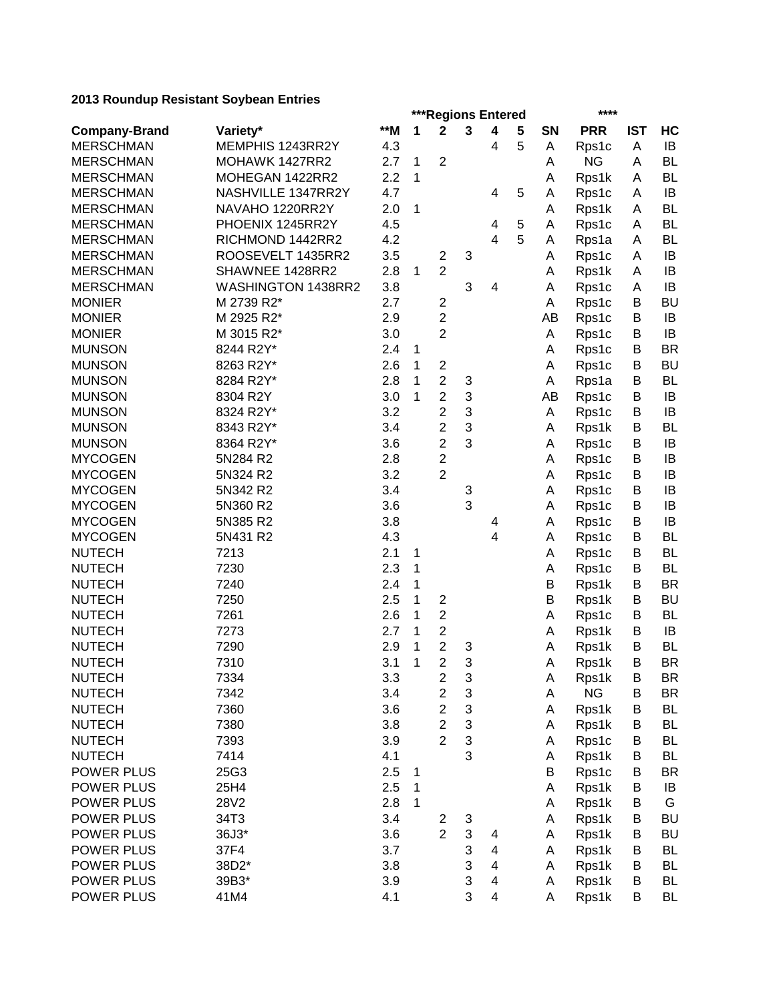|                      |                    |     | ***Regions Entered<br>**** |                         |        |                         |   |        |                |            |           |
|----------------------|--------------------|-----|----------------------------|-------------------------|--------|-------------------------|---|--------|----------------|------------|-----------|
| <b>Company-Brand</b> | Variety*           | **M | 1                          | $\mathbf 2$             | 3      | 4                       | 5 | SN     | <b>PRR</b>     | <b>IST</b> | HC        |
| <b>MERSCHMAN</b>     | MEMPHIS 1243RR2Y   | 4.3 |                            |                         |        | 4                       | 5 | A      | Rps1c          | Α          | IB        |
| <b>MERSCHMAN</b>     | MOHAWK 1427RR2     | 2.7 | $\mathbf{1}$               | $\overline{2}$          |        |                         |   | A      | <b>NG</b>      | A          | <b>BL</b> |
| <b>MERSCHMAN</b>     | MOHEGAN 1422RR2    | 2.2 | 1                          |                         |        |                         |   | Α      | Rps1k          | A          | <b>BL</b> |
| <b>MERSCHMAN</b>     | NASHVILLE 1347RR2Y | 4.7 |                            |                         |        | 4                       | 5 | Α      | Rps1c          | A          | IB        |
| <b>MERSCHMAN</b>     | NAVAHO 1220RR2Y    | 2.0 | 1                          |                         |        |                         |   | Α      | Rps1k          | A          | <b>BL</b> |
| <b>MERSCHMAN</b>     | PHOENIX 1245RR2Y   | 4.5 |                            |                         |        | 4                       | 5 | Α      | Rps1c          | Α          | <b>BL</b> |
| <b>MERSCHMAN</b>     | RICHMOND 1442RR2   | 4.2 |                            |                         |        | $\overline{4}$          | 5 | A      | Rps1a          | A          | <b>BL</b> |
| <b>MERSCHMAN</b>     | ROOSEVELT 1435RR2  | 3.5 |                            | $\overline{\mathbf{c}}$ | 3      |                         |   | A      | Rps1c          | A          | IB        |
| <b>MERSCHMAN</b>     | SHAWNEE 1428RR2    | 2.8 | 1                          | $\overline{2}$          |        |                         |   | A      | Rps1k          | A          | IB        |
| <b>MERSCHMAN</b>     | WASHINGTON 1438RR2 | 3.8 |                            |                         | 3      | 4                       |   | A      | Rps1c          | A          | IB        |
| <b>MONIER</b>        | M 2739 R2*         | 2.7 |                            | 2                       |        |                         |   | A      | Rps1c          | B          | <b>BU</b> |
| <b>MONIER</b>        | M 2925 R2*         | 2.9 |                            | $\overline{2}$          |        |                         |   | AB     | Rps1c          | B          | IB        |
| <b>MONIER</b>        | M 3015 R2*         | 3.0 |                            | $\overline{2}$          |        |                         |   | Α      | Rps1c          | B          | IB        |
| <b>MUNSON</b>        | 8244 R2Y*          | 2.4 | $\mathbf 1$                |                         |        |                         |   | A      | Rps1c          | B          | <b>BR</b> |
| <b>MUNSON</b>        | 8263 R2Y*          | 2.6 | $\mathbf 1$                | $\overline{\mathbf{c}}$ |        |                         |   | A      | Rps1c          | B          | <b>BU</b> |
| <b>MUNSON</b>        | 8284 R2Y*          | 2.8 | 1                          | $\overline{2}$          | 3      |                         |   | Α      | Rps1a          | B          | <b>BL</b> |
| <b>MUNSON</b>        | 8304 R2Y           | 3.0 | $\mathbf{1}$               | $\overline{2}$          | 3      |                         |   | AB     | Rps1c          | B          | IB        |
| <b>MUNSON</b>        | 8324 R2Y*          | 3.2 |                            | $\overline{2}$          | 3      |                         |   | Α      | Rps1c          | B          | IB        |
| <b>MUNSON</b>        | 8343 R2Y*          | 3.4 |                            | $\overline{2}$          | 3      |                         |   | Α      | Rps1k          | B          | <b>BL</b> |
| <b>MUNSON</b>        | 8364 R2Y*          | 3.6 |                            | $\overline{2}$          | 3      |                         |   | Α      | Rps1c          | B          | IB        |
| <b>MYCOGEN</b>       | 5N284 R2           | 2.8 |                            | $\overline{2}$          |        |                         |   | Α      | Rps1c          | B          | IB        |
| <b>MYCOGEN</b>       | 5N324 R2           | 3.2 |                            | $\overline{2}$          |        |                         |   | Α      | Rps1c          | B          | IB        |
| <b>MYCOGEN</b>       | 5N342 R2           | 3.4 |                            |                         | 3      |                         |   | Α      | Rps1c          | B          | IB        |
| <b>MYCOGEN</b>       | 5N360 R2           | 3.6 |                            |                         | 3      |                         |   | Α      | Rps1c          | B          | IB        |
| <b>MYCOGEN</b>       | 5N385 R2           | 3.8 |                            |                         |        | 4                       |   | Α      | Rps1c          | B          | IB        |
| <b>MYCOGEN</b>       | 5N431 R2           | 4.3 |                            |                         |        | 4                       |   | A      | Rps1c          | B          | <b>BL</b> |
| <b>NUTECH</b>        | 7213               | 2.1 | 1                          |                         |        |                         |   | A      | Rps1c          | B          | <b>BL</b> |
| <b>NUTECH</b>        | 7230               | 2.3 | 1                          |                         |        |                         |   | Α      | Rps1c          | B          | <b>BL</b> |
| <b>NUTECH</b>        | 7240               | 2.4 | 1                          |                         |        |                         |   | B      |                | B          | <b>BR</b> |
| <b>NUTECH</b>        | 7250               | 2.5 | 1                          | $\overline{2}$          |        |                         |   | B      | Rps1k<br>Rps1k | B          | <b>BU</b> |
| <b>NUTECH</b>        | 7261               | 2.6 | 1                          | $\overline{2}$          |        |                         |   | A      |                | B          | <b>BL</b> |
| <b>NUTECH</b>        | 7273               | 2.7 | 1                          | $\overline{2}$          |        |                         |   |        | Rps1c<br>Rps1k | B          | IB        |
| <b>NUTECH</b>        | 7290               | 2.9 | 1                          | $\overline{2}$          |        |                         |   | A<br>A |                | B          | <b>BL</b> |
| <b>NUTECH</b>        | 7310               | 3.1 | 1                          | $\overline{2}$          | 3<br>3 |                         |   |        | Rps1k          | B          | <b>BR</b> |
|                      |                    |     |                            |                         |        |                         |   | Α      | Rps1k          |            |           |
| <b>NUTECH</b>        | 7334               | 3.3 |                            | $\overline{\mathbf{c}}$ | 3      |                         |   | A      | Rps1k          | Β          | BR        |
| <b>NUTECH</b>        | 7342               | 3.4 |                            | $\overline{\mathbf{c}}$ | 3      |                         |   | Α      | <b>NG</b>      | B          | <b>BR</b> |
| <b>NUTECH</b>        | 7360               | 3.6 |                            | $\overline{c}$          | 3      |                         |   | Α      | Rps1k          | B          | <b>BL</b> |
| <b>NUTECH</b>        | 7380               | 3.8 |                            | $\overline{2}$          | 3      |                         |   | Α      | Rps1k          | B          | <b>BL</b> |
| <b>NUTECH</b>        | 7393               | 3.9 |                            | $\overline{2}$          | 3      |                         |   | Α      | Rps1c          | B          | <b>BL</b> |
| <b>NUTECH</b>        | 7414               | 4.1 |                            |                         | 3      |                         |   | Α      | Rps1k          | Β          | <b>BL</b> |
| POWER PLUS           | 25G3               | 2.5 | 1                          |                         |        |                         |   | B      | Rps1c          | B          | <b>BR</b> |
| POWER PLUS           | 25H4               | 2.5 | 1                          |                         |        |                         |   | Α      | Rps1k          | B          | IB        |
| <b>POWER PLUS</b>    | 28V2               | 2.8 | 1                          |                         |        |                         |   | Α      | Rps1k          | B          | G         |
| POWER PLUS           | 34T3               | 3.4 |                            | 2                       | 3      |                         |   | Α      | Rps1k          | Β          | <b>BU</b> |
| POWER PLUS           | 36J3*              | 3.6 |                            | $\overline{2}$          | 3      | 4                       |   | Α      | Rps1k          | B          | <b>BU</b> |
| POWER PLUS           | 37F4               | 3.7 |                            |                         | 3      | 4                       |   | Α      | Rps1k          | B          | <b>BL</b> |
| POWER PLUS           | 38D2*              | 3.8 |                            |                         | 3      | 4                       |   | Α      | Rps1k          | B          | <b>BL</b> |
| POWER PLUS           | 39B3*              | 3.9 |                            |                         | 3      | 4                       |   | Α      | Rps1k          | B          | <b>BL</b> |
| POWER PLUS           | 41M4               | 4.1 |                            |                         | 3      | $\overline{\mathbf{4}}$ |   | Α      | Rps1k          | B          | <b>BL</b> |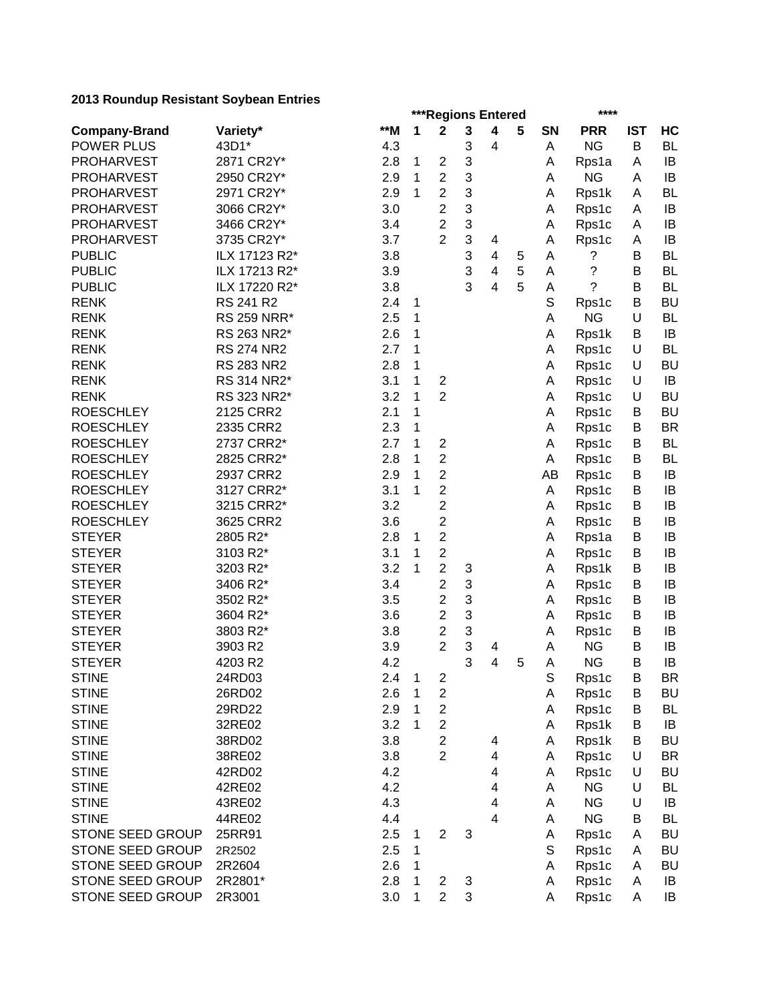|                         |                    |     | ***Regions Entered |                         |   |                              |   |             |                    | ****       |           |  |  |
|-------------------------|--------------------|-----|--------------------|-------------------------|---|------------------------------|---|-------------|--------------------|------------|-----------|--|--|
| <b>Company-Brand</b>    | Variety*           | **M | 1                  | $\mathbf 2$             | 3 | 4                            | 5 | <b>SN</b>   | <b>PRR</b>         | <b>IST</b> | HC        |  |  |
| <b>POWER PLUS</b>       | 43D1*              | 4.3 |                    |                         | 3 | $\overline{\mathbf{4}}$      |   | A           | <b>NG</b>          | B          | <b>BL</b> |  |  |
| <b>PROHARVEST</b>       | 2871 CR2Y*         | 2.8 | 1                  | $\overline{c}$          | 3 |                              |   | Α           | Rps1a              | A          | IB        |  |  |
| <b>PROHARVEST</b>       | 2950 CR2Y*         | 2.9 | 1                  | $\overline{2}$          | 3 |                              |   | A           | <b>NG</b>          | A          | IB        |  |  |
| <b>PROHARVEST</b>       | 2971 CR2Y*         | 2.9 | 1                  | $\overline{2}$          | 3 |                              |   | A           | Rps1k              | A          | BL        |  |  |
| <b>PROHARVEST</b>       | 3066 CR2Y*         | 3.0 |                    | $\overline{2}$          | 3 |                              |   | Α           | Rps1c              | Α          | IB        |  |  |
| <b>PROHARVEST</b>       | 3466 CR2Y*         | 3.4 |                    | $\overline{2}$          | 3 |                              |   | Α           | Rps1c              | A          | IB        |  |  |
| <b>PROHARVEST</b>       | 3735 CR2Y*         | 3.7 |                    | $\overline{2}$          | 3 | 4                            |   | Α           | Rps1c              | Α          | IB        |  |  |
| <b>PUBLIC</b>           | ILX 17123 R2*      | 3.8 |                    |                         | 3 | 4                            | 5 | A           | ?                  | B          | BL        |  |  |
| <b>PUBLIC</b>           | ILX 17213 R2*      | 3.9 |                    |                         | 3 | $\overline{\mathbf{4}}$      | 5 | A           | ?                  | B          | BL        |  |  |
| <b>PUBLIC</b>           | ILX 17220 R2*      | 3.8 |                    |                         | 3 | $\overline{\mathbf{4}}$      | 5 | A           | ?                  | B          | BL        |  |  |
| <b>RENK</b>             | RS 241 R2          | 2.4 | 1                  |                         |   |                              |   | $\mathbb S$ | Rps1c              | В          | <b>BU</b> |  |  |
| <b>RENK</b>             | <b>RS 259 NRR*</b> | 2.5 | 1                  |                         |   |                              |   | A           | <b>NG</b>          | U          | BL        |  |  |
| <b>RENK</b>             | RS 263 NR2*        | 2.6 | 1                  |                         |   |                              |   | Α           | Rps1k              | B          | IB        |  |  |
| <b>RENK</b>             | <b>RS 274 NR2</b>  | 2.7 | 1                  |                         |   |                              |   | Α           | Rps1c              | U          | BL        |  |  |
| <b>RENK</b>             | <b>RS 283 NR2</b>  | 2.8 | 1                  |                         |   |                              |   | A           | Rps1c              | U          | <b>BU</b> |  |  |
| <b>RENK</b>             | RS 314 NR2*        | 3.1 | 1                  | $\overline{\mathbf{c}}$ |   |                              |   | Α           | Rps1c              | U          | IB        |  |  |
| <b>RENK</b>             | RS 323 NR2*        | 3.2 | 1                  | $\overline{c}$          |   |                              |   | Α           | Rps1c              | U          | <b>BU</b> |  |  |
| <b>ROESCHLEY</b>        | 2125 CRR2          | 2.1 | 1                  |                         |   |                              |   | Α           | Rps1c              | B          | <b>BU</b> |  |  |
| <b>ROESCHLEY</b>        | 2335 CRR2          | 2.3 | 1                  |                         |   |                              |   | Α           | Rps1c              | B          | <b>BR</b> |  |  |
| <b>ROESCHLEY</b>        | 2737 CRR2*         | 2.7 | 1                  | $\overline{c}$          |   |                              |   | Α           | Rps1c              | B          | BL        |  |  |
| <b>ROESCHLEY</b>        | 2825 CRR2*         | 2.8 | 1                  | $\overline{2}$          |   |                              |   | Α           | Rps1c              | B          | BL        |  |  |
| <b>ROESCHLEY</b>        | 2937 CRR2          | 2.9 | 1                  | $\overline{c}$          |   |                              |   | AB          | Rps1c              | B          | IB        |  |  |
| <b>ROESCHLEY</b>        | 3127 CRR2*         | 3.1 | 1                  | $\overline{c}$          |   |                              |   | Α           | Rps1c              | B          | IB        |  |  |
| <b>ROESCHLEY</b>        | 3215 CRR2*         | 3.2 |                    | $\overline{c}$          |   |                              |   | A           | Rps1c              | B          | IB        |  |  |
| <b>ROESCHLEY</b>        | 3625 CRR2          | 3.6 |                    | $\overline{2}$          |   |                              |   | Α           | Rps1c              | B          | IB        |  |  |
| <b>STEYER</b>           | 2805 R2*           | 2.8 | 1                  | $\overline{c}$          |   |                              |   | Α           | Rps1a              | B          | IB        |  |  |
| <b>STEYER</b>           | 3103 R2*           | 3.1 | 1                  | $\overline{2}$          |   |                              |   | Α           | Rps1c              | B          | IB        |  |  |
| <b>STEYER</b>           | 3203 R2*           | 3.2 | 1                  | $\overline{2}$          | 3 |                              |   | A           | Rps1k              | B          | IB        |  |  |
| <b>STEYER</b>           | 3406 R2*           | 3.4 |                    | $\overline{2}$          | 3 |                              |   | Α           | Rps1c              | B          | IB        |  |  |
| <b>STEYER</b>           | 3502 R2*           | 3.5 |                    | $\overline{2}$          | 3 |                              |   | A           | Rps1c              | B          | IB        |  |  |
| <b>STEYER</b>           | 3604 R2*           | 3.6 |                    | $\overline{2}$          | 3 |                              |   | Α           | Rps1c              | B          | IB        |  |  |
| <b>STEYER</b>           | 3803 R2*           | 3.8 |                    | $\overline{c}$          | 3 |                              |   |             |                    | B          | IB        |  |  |
| <b>STEYER</b>           |                    | 3.9 |                    | $\overline{2}$          | 3 |                              |   | Α<br>A      | Rps1c<br><b>NG</b> | B          | IB        |  |  |
| <b>STEYER</b>           | 3903 R2<br>4203 R2 | 4.2 |                    |                         | 3 | 4<br>$\overline{\mathbf{4}}$ | 5 | A           | <b>NG</b>          | B          | IB        |  |  |
|                         |                    |     |                    |                         |   |                              |   |             |                    |            | BR        |  |  |
| <b>STINE</b>            | 24RD03             | 2.4 | $\mathbf{1}$       | $\overline{\mathbf{c}}$ |   |                              |   | S           | Rps1c              | В          |           |  |  |
| <b>STINE</b>            | 26RD02             | 2.6 | 1                  | $\boldsymbol{2}$        |   |                              |   | Α           | Rps1c              | B          | <b>BU</b> |  |  |
| <b>STINE</b>            | 29RD22             | 2.9 | 1                  | $\overline{c}$          |   |                              |   | A           | Rps1c              | B          | <b>BL</b> |  |  |
| <b>STINE</b>            | 32RE02             | 3.2 | 1                  | $\overline{\mathbf{c}}$ |   |                              |   | Α           | Rps1k              | B          | IB        |  |  |
| <b>STINE</b>            | 38RD02             | 3.8 |                    | $\overline{\mathbf{c}}$ |   | 4                            |   | Α           | Rps1k              | B          | <b>BU</b> |  |  |
| <b>STINE</b>            | 38RE02             | 3.8 |                    | $\overline{c}$          |   | 4                            |   | Α           | Rps1c              | U          | <b>BR</b> |  |  |
| <b>STINE</b>            | 42RD02             | 4.2 |                    |                         |   | 4                            |   | Α           | Rps1c              | U          | <b>BU</b> |  |  |
| <b>STINE</b>            | 42RE02             | 4.2 |                    |                         |   | $\overline{\mathbf{4}}$      |   | A           | <b>NG</b>          | U          | BL        |  |  |
| <b>STINE</b>            | 43RE02             | 4.3 |                    |                         |   | $\overline{\mathbf{4}}$      |   | Α           | <b>NG</b>          | U          | IB        |  |  |
| <b>STINE</b>            | 44RE02             | 4.4 |                    |                         |   | $\overline{\mathbf{4}}$      |   | Α           | <b>NG</b>          | B          | BL        |  |  |
| <b>STONE SEED GROUP</b> | 25RR91             | 2.5 | 1                  | $\overline{2}$          | 3 |                              |   | Α           | Rps1c              | A          | <b>BU</b> |  |  |
| STONE SEED GROUP        | 2R2502             | 2.5 | 1                  |                         |   |                              |   | S           | Rps1c              | A          | <b>BU</b> |  |  |
| STONE SEED GROUP        | 2R2604             | 2.6 | 1                  |                         |   |                              |   | Α           | Rps1c              | A          | <b>BU</b> |  |  |
| STONE SEED GROUP        | 2R2801*            | 2.8 | 1                  | 2                       | 3 |                              |   | Α           | Rps1c              | A          | IB        |  |  |
| STONE SEED GROUP        | 2R3001             | 3.0 | 1                  | $\overline{2}$          | 3 |                              |   | Α           | Rps1c              | Α          | IB        |  |  |